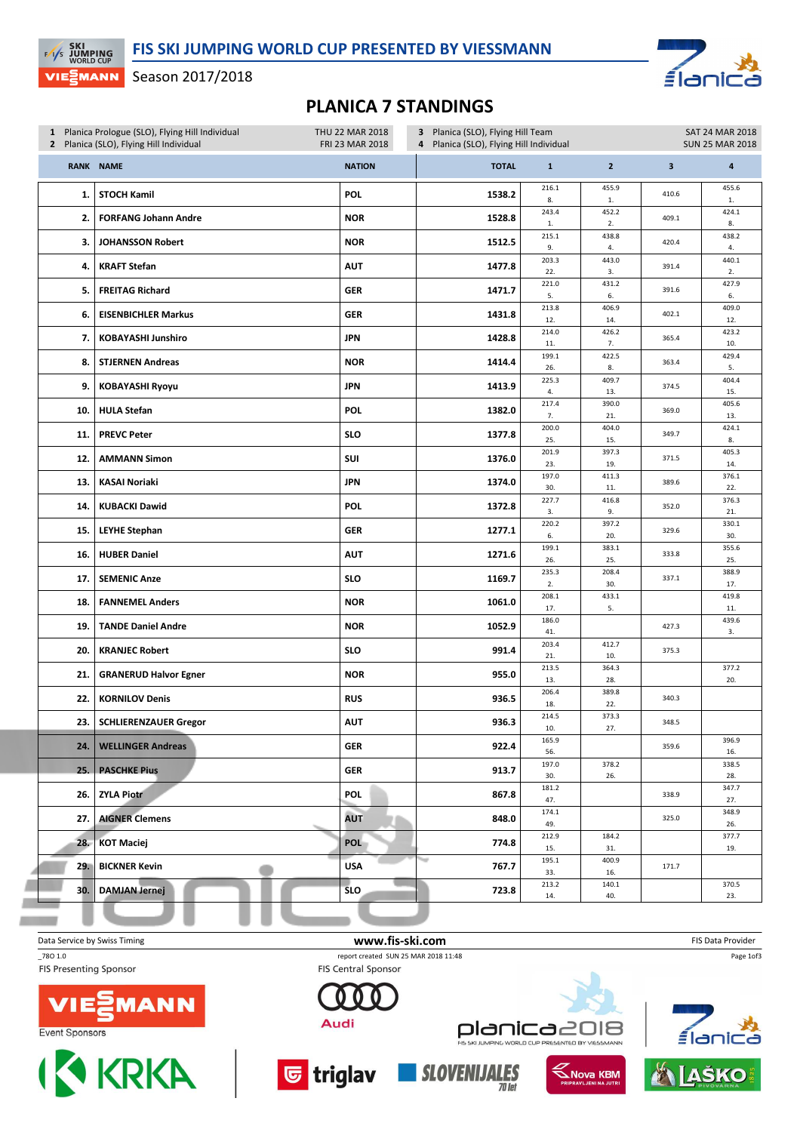∎์อ

Season 2017/2018

**EXI**<br>EXIS JUMPING

**VIE EMANN** 

## PLANICA 7 STANDINGS

|     | 1 Planica Prologue (SLO), Flying Hill Individual<br>2 Planica (SLO), Flying Hill Individual |               | THU 22 MAR 2018<br>3 Planica (SLO), Flying Hill Team<br>FRI 23 MAR 2018<br>4 Planica (SLO), Flying Hill Individual |                       |                | <b>SAT 24 MAR 2018</b><br><b>SUN 25 MAR 2018</b> |                         |  |  |
|-----|---------------------------------------------------------------------------------------------|---------------|--------------------------------------------------------------------------------------------------------------------|-----------------------|----------------|--------------------------------------------------|-------------------------|--|--|
|     | <b>RANK NAME</b>                                                                            | <b>NATION</b> | <b>TOTAL</b>                                                                                                       | $\mathbf 1$           | $\overline{2}$ | $\overline{\mathbf{3}}$                          | $\overline{\mathbf{a}}$ |  |  |
| 1.  | <b>STOCH Kamil</b>                                                                          | <b>POL</b>    | 1538.2                                                                                                             | 216.1<br>8.           | 455.9<br>1.    | 410.6                                            | 455.6<br>1.             |  |  |
| 2.  | <b>FORFANG Johann Andre</b>                                                                 | <b>NOR</b>    | 1528.8                                                                                                             | 243.4<br>1.           | 452.2<br>2.    | 409.1                                            | 424.1<br>8.             |  |  |
| 3.  | <b>JOHANSSON Robert</b>                                                                     | <b>NOR</b>    | 1512.5                                                                                                             | 215.1<br>9.           | 438.8<br>4.    | 420.4                                            | 438.2<br>4.             |  |  |
| 4.  | <b>KRAFT Stefan</b>                                                                         | <b>AUT</b>    | 1477.8                                                                                                             | 203.3<br>22.          | 443.0<br>3.    | 391.4                                            | 440.1<br>2.             |  |  |
| 5.  | <b>FREITAG Richard</b>                                                                      | <b>GER</b>    | 1471.7                                                                                                             | 221.0<br>5.           | 431.2<br>6.    | 391.6                                            | 427.9<br>6.             |  |  |
| 6.  | <b>EISENBICHLER Markus</b>                                                                  | <b>GER</b>    | 1431.8                                                                                                             | 213.8<br>12.          | 406.9<br>14.   | 402.1                                            | 409.0<br>12.            |  |  |
| 7.  | <b>KOBAYASHI Junshiro</b>                                                                   | <b>JPN</b>    | 1428.8                                                                                                             | 214.0<br>11.          | 426.2<br>7.    | 365.4                                            | 423.2<br>10.            |  |  |
| 8.  | <b>STJERNEN Andreas</b>                                                                     | <b>NOR</b>    | 1414.4                                                                                                             | 199.1<br>26.          | 422.5<br>8.    | 363.4                                            | 429.4<br>5.             |  |  |
| 9.  | <b>KOBAYASHI Ryoyu</b>                                                                      | <b>JPN</b>    | 1413.9                                                                                                             | 225.3<br>4.           | 409.7<br>13.   | 374.5                                            | 404.4<br>15.            |  |  |
| 10. | <b>HULA Stefan</b>                                                                          | POL           | 1382.0                                                                                                             | 217.4<br>7.           | 390.0<br>21.   | 369.0                                            | 405.6<br>13.            |  |  |
| 11. | <b>PREVC Peter</b>                                                                          | <b>SLO</b>    | 1377.8                                                                                                             | 200.0<br>25.          | 404.0<br>15.   | 349.7                                            | 424.1<br>8.             |  |  |
| 12. | <b>AMMANN Simon</b>                                                                         | SUI           | 1376.0                                                                                                             | 201.9<br>23.          | 397.3<br>19.   | 371.5                                            | 405.3<br>14.            |  |  |
| 13. | <b>KASAI Noriaki</b>                                                                        | <b>JPN</b>    | 1374.0                                                                                                             | 197.0<br>30.          | 411.3<br>11.   | 389.6                                            | 376.1<br>22.            |  |  |
| 14. | <b>KUBACKI Dawid</b>                                                                        | POL           | 1372.8                                                                                                             | 227.7<br>3.           | 416.8<br>9.    | 352.0                                            | 376.3<br>21.            |  |  |
| 15. | <b>LEYHE Stephan</b>                                                                        | <b>GER</b>    | 1277.1                                                                                                             | 220.2<br>6.           | 397.2<br>20.   | 329.6                                            | 330.1<br>30.            |  |  |
| 16. | <b>HUBER Daniel</b>                                                                         | <b>AUT</b>    | 1271.6                                                                                                             | 199.1<br>26.          | 383.1<br>25.   | 333.8                                            | 355.6<br>25.            |  |  |
| 17. | <b>SEMENIC Anze</b>                                                                         | <b>SLO</b>    | 1169.7                                                                                                             | 235.3<br>2.           | 208.4<br>30.   | 337.1                                            | 388.9<br>17.            |  |  |
| 18. | <b>FANNEMEL Anders</b>                                                                      | <b>NOR</b>    | 1061.0                                                                                                             | 208.1<br>17.          | 433.1<br>5.    |                                                  | 419.8<br>11.            |  |  |
| 19. | <b>TANDE Daniel Andre</b>                                                                   | <b>NOR</b>    | 1052.9                                                                                                             | 186.0<br>41.          |                | 427.3                                            | 439.6<br>3.             |  |  |
| 20. | <b>KRANJEC Robert</b>                                                                       | <b>SLO</b>    | 991.4                                                                                                              | 203.4<br>21.          | 412.7<br>10.   | 375.3                                            |                         |  |  |
| 21. | <b>GRANERUD Halvor Egner</b>                                                                | <b>NOR</b>    | 955.0                                                                                                              | 213.5<br>13.          | 364.3<br>28.   |                                                  | 377.2<br>20.            |  |  |
| 22. | <b>KORNILOV Denis</b>                                                                       | <b>RUS</b>    | 936.5                                                                                                              | 206.4<br>18.          | 389.8<br>22.   | 340.3                                            |                         |  |  |
|     | 23.   SCHLIERENZAUER Gregor                                                                 | <b>AUT</b>    | 936.3                                                                                                              | 214.5<br>10.          | 373.3<br>27.   | 348.5                                            |                         |  |  |
| 24. | <b>WELLINGER Andreas</b>                                                                    | GER           | 922.4                                                                                                              | 165.9<br>56.<br>197.0 | 378.2          | 359.6                                            | 396.9<br>16.<br>338.5   |  |  |
|     | 25. PASCHKE Pius                                                                            | <b>GER</b>    | 913.7                                                                                                              | 30.<br>181.2          | 26.            |                                                  | 28.<br>347.7            |  |  |
| 26. | <b>ZYLA Piotr</b>                                                                           | <b>POL</b>    | 867.8                                                                                                              | 47.<br>174.1          |                | 338.9                                            | 27.<br>348.9            |  |  |
| 27. | <b>AIGNER Clemens</b>                                                                       | AUT           | 848.0                                                                                                              | 49.<br>212.9          | 184.2          | 325.0                                            | 26.<br>377.7            |  |  |
| 28. | <b>KOT Maciej</b>                                                                           | <b>POL</b>    | 774.8                                                                                                              | 15.                   | 31.            |                                                  | 19.                     |  |  |
| 29. | <b>BICKNER Kevin</b>                                                                        | <b>USA</b>    | 767.7                                                                                                              | 195.1<br>33.          | 400.9<br>16.   | 171.7                                            |                         |  |  |
| 30. | <b>DAMJAN Jernej</b>                                                                        | <b>SLO</b>    | 723.8                                                                                                              | 213.2<br>14.          | 140.1<br>40.   |                                                  | 370.5<br>23.            |  |  |
|     |                                                                                             |               |                                                                                                                    |                       |                |                                                  |                         |  |  |

Data Service by Swiss Timing **EXECUTE:** The Service by Swiss Timing FIS Data Provider \_78O 1.0 report created SUN 25 MAR 2018 11:48 Page 1of3**FIS Presenting Sponsor FIS Central Sponsor ANN** Audi planica2018 ≦lar Event Sponsors .<br>WORLD CUP PRESENTED BY VIESSMANN **I & KRKA** <mark>ড</mark> triglav **SLOVENIJALES KNOVA KBM JAŠKO**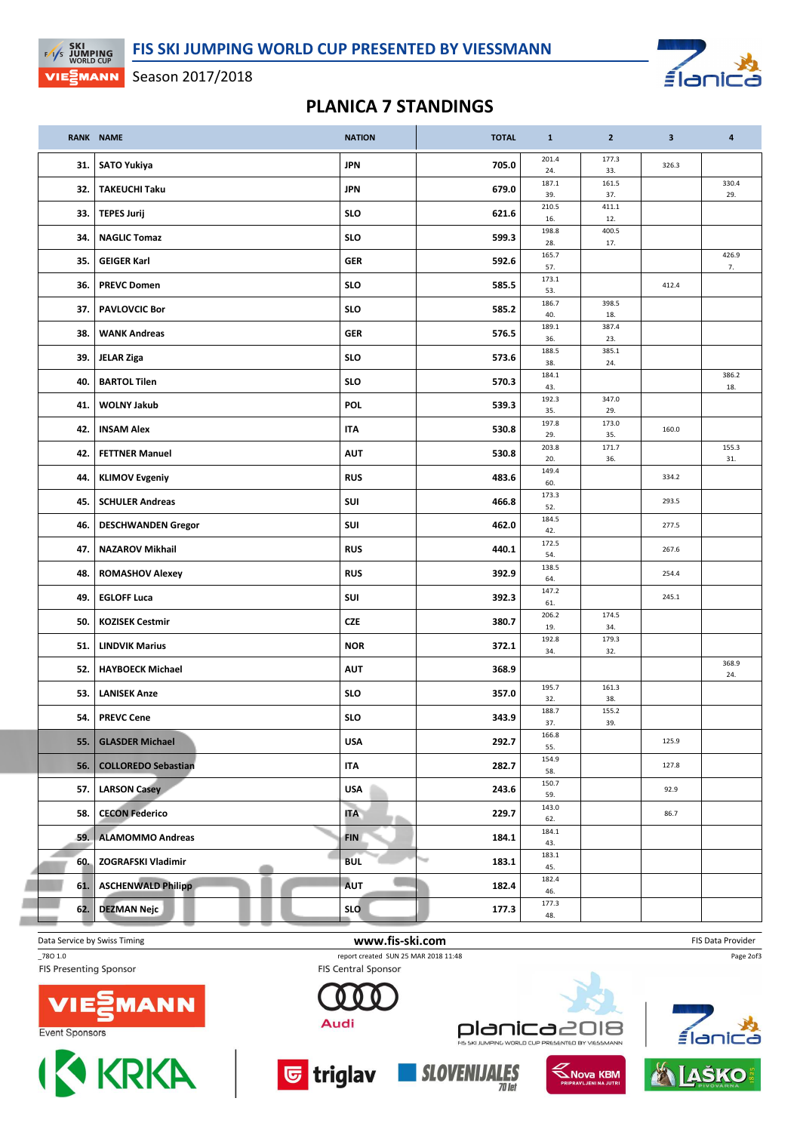$f_{\text{d}}$ 

## Season 2017/2018

**EXI**<br>EXIS JUMPING

VIE EMANN

## PLANICA 7 STANDINGS

|     | <b>RANK NAME</b>           | <b>NATION</b> | <b>TOTAL</b> | $\mathbf{1}$ | $\mathbf{2}$ | $\overline{\mathbf{3}}$ | $\overline{a}$ |
|-----|----------------------------|---------------|--------------|--------------|--------------|-------------------------|----------------|
| 31. | <b>SATO Yukiya</b>         | <b>JPN</b>    | 705.0        | 201.4<br>24. | 177.3<br>33. | 326.3                   |                |
| 32. | <b>TAKEUCHI Taku</b>       | <b>JPN</b>    | 679.0        | 187.1<br>39. | 161.5<br>37. |                         | 330.4<br>29.   |
| 33. | <b>TEPES Jurij</b>         | <b>SLO</b>    | 621.6        | 210.5<br>16. | 411.1<br>12. |                         |                |
| 34. | <b>NAGLIC Tomaz</b>        | <b>SLO</b>    | 599.3        | 198.8<br>28. | 400.5<br>17. |                         |                |
| 35. | <b>GEIGER Karl</b>         | <b>GER</b>    | 592.6        | 165.7<br>57. |              |                         | 426.9<br>7.    |
| 36. | <b>PREVC Domen</b>         | <b>SLO</b>    | 585.5        | 173.1<br>53. |              | 412.4                   |                |
| 37. | <b>PAVLOVCIC Bor</b>       | <b>SLO</b>    | 585.2        | 186.7<br>40. | 398.5<br>18. |                         |                |
| 38. | <b>WANK Andreas</b>        | <b>GER</b>    | 576.5        | 189.1<br>36. | 387.4<br>23. |                         |                |
| 39. | <b>JELAR Ziga</b>          | <b>SLO</b>    | 573.6        | 188.5<br>38. | 385.1<br>24. |                         |                |
| 40. | <b>BARTOL Tilen</b>        | <b>SLO</b>    | 570.3        | 184.1<br>43. |              |                         | 386.2<br>18.   |
| 41. | <b>WOLNY Jakub</b>         | <b>POL</b>    | 539.3        | 192.3<br>35. | 347.0<br>29. |                         |                |
| 42. | <b>INSAM Alex</b>          | <b>ITA</b>    | 530.8        | 197.8<br>29. | 173.0<br>35. | 160.0                   |                |
| 42. | <b>FETTNER Manuel</b>      | <b>AUT</b>    | 530.8        | 203.8<br>20. | 171.7<br>36. |                         | 155.3<br>31.   |
| 44. | <b>KLIMOV Evgeniy</b>      | <b>RUS</b>    | 483.6        | 149.4<br>60. |              | 334.2                   |                |
| 45. | <b>SCHULER Andreas</b>     | SUI           | 466.8        | 173.3<br>52. |              | 293.5                   |                |
| 46. | <b>DESCHWANDEN Gregor</b>  | SUI           | 462.0        | 184.5<br>42. |              | 277.5                   |                |
| 47. | <b>NAZAROV Mikhail</b>     | <b>RUS</b>    | 440.1        | 172.5<br>54. |              | 267.6                   |                |
| 48. | <b>ROMASHOV Alexey</b>     | <b>RUS</b>    | 392.9        | 138.5<br>64. |              | 254.4                   |                |
| 49. | <b>EGLOFF Luca</b>         | SUI           | 392.3        | 147.2<br>61. |              | 245.1                   |                |
| 50. | <b>KOZISEK Cestmir</b>     | <b>CZE</b>    | 380.7        | 206.2<br>19. | 174.5<br>34. |                         |                |
| 51. | <b>LINDVIK Marius</b>      | <b>NOR</b>    | 372.1        | 192.8<br>34. | 179.3<br>32. |                         |                |
| 52. | <b>HAYBOECK Michael</b>    | <b>AUT</b>    | 368.9        |              |              |                         | 368.9<br>24.   |
| 53. | <b>LANISEK Anze</b>        | <b>SLO</b>    | 357.0        | 195.7<br>32. | 161.3<br>38. |                         |                |
| 54. | <b>PREVC Cene</b>          | <b>SLO</b>    | 343.9        | 188.7<br>37. | 155.2<br>39. |                         |                |
| 55. | <b>GLASDER Michael</b>     | <b>USA</b>    | 292.7        | 166.8<br>55. |              | 125.9                   |                |
| 56. | <b>COLLOREDO Sebastian</b> | <b>ITA</b>    | 282.7        | 154.9<br>58. |              | 127.8                   |                |
| 57. | <b>LARSON Casey</b>        | <b>USA</b>    | 243.6        | 150.7<br>59. |              | 92.9                    |                |
| 58. | <b>CECON Federico</b>      | <b>ITA</b>    | 229.7        | 143.0<br>62. |              | 86.7                    |                |
| 59. | <b>ALAMOMMO Andreas</b>    | <b>FIN</b>    | 184.1        | 184.1<br>43. |              |                         |                |
| 60. | ZOGRAFSKI Vladimir         | <b>BUL</b>    | 183.1        | 183.1<br>45. |              |                         |                |
| 61. | <b>ASCHENWALD Philipp</b>  | <b>AUT</b>    | 182.4        | 182.4<br>46. |              |                         |                |
| 62. | <b>DEZMAN Nejc</b>         | <b>SLO</b>    | 177.3        | 177.3<br>48. |              |                         |                |

Data Service by Swiss Timing **EXECUTE:** The Service by Swiss Timing FIS Data Provider \_78O 1.0 report created SUN 25 MAR 2018 11:48 **FIS Presenting Sponsor** 







**FIS Central Sponsor** 



**SLOVENIJALES** 

**KNOVA KBM** 



Page 2of3